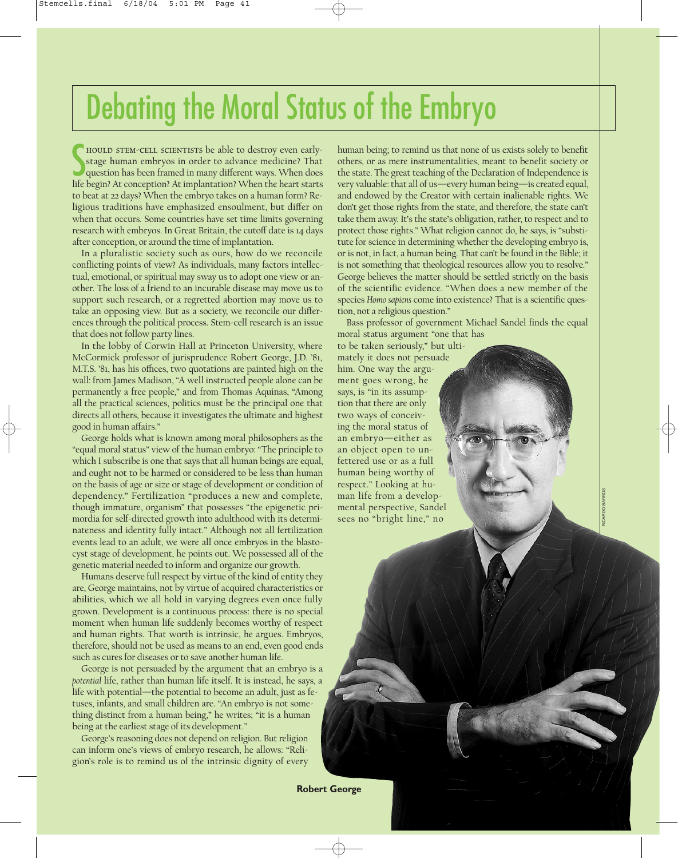## Debating the Moral Status of the Embryo

S hould stem-cell scientists be able to destroy even earlystage human embryos in order to advance medicine? That question has been framed in many different ways. When does life begin? At conception? At implantation? When the heart starts to beat at 22 days? When the embryo takes on a human form? Religious traditions have emphasized ensoulment, but differ on when that occurs. Some countries have set time limits governing research with embryos. In Great Britain, the cutoff date is 14 days after conception, or around the time of implantation.

In a pluralistic society such as ours, how do we reconcile conflicting points of view? As individuals, many factors intellectual, emotional, or spiritual may sway us to adopt one view or another. The loss of a friend to an incurable disease may move us to support such research, or a regretted abortion may move us to take an opposing view. But as a society, we reconcile our differences through the political process. Stem-cell research is an issue that does not follow party lines.

In the lobby of Corwin Hall at Princeton University, where McCormick professor of jurisprudence Robert George, J.D. '81, M.T.S. '81, has his offices, two quotations are painted high on the wall: from James Madison, "A well instructed people alone can be permanently a free people," and from Thomas Aquinas, "Among all the practical sciences, politics must be the principal one that directs all others, because it investigates the ultimate and highest good in human affairs."

George holds what is known among moral philosophers as the "equal moral status" view of the human embryo: "The principle to which I subscribe is one that says that all human beings are equal, and ought not to be harmed or considered to be less than human on the basis of age or size or stage of development or condition of dependency." Fertilization "produces a new and complete, though immature, organism" that possesses "the epigenetic primordia for self-directed growth into adulthood with its determinateness and identity fully intact." Although not all fertilization events lead to an adult, we were all once embryos in the blastocyst stage of development, he points out. We possessed all of the genetic material needed to inform and organize our growth.

Humans deserve full respect by virtue of the kind of entity they are, George maintains, not by virtue of acquired characteristics or abilities, which we all hold in varying degrees even once fully grown. Development is a continuous process: there is no special moment when human life suddenly becomes worthy of respect and human rights. That worth is intrinsic, he argues. Embryos, therefore, should not be used as means to an end, even good ends such as cures for diseases or to save another human life.

George is not persuaded by the argument that an embryo is a *potential* life, rather than human life itself. It is instead, he says, a life with potential—the potential to become an adult, just as fetuses, infants, and small children are. "An embryo is not something distinct from a human being," he writes; "it is a human being at the earliest stage of its development."

George's reasoning does not depend on religion. But religion can inform one's views of embryo research, he allows: "Religion's role is to remind us of the intrinsic dignity of every

human being; to remind us that none of us exists solely to benefit others, or as mere instrumentalities, meant to benefit society or the state. The great teaching of the Declaration of Independence is very valuable: that all of us—every human being—is created equal, and endowed by the Creator with certain inalienable rights. We don't get those rights from the state, and therefore, the state can't take them away. It's the state's obligation, rather, to respect and to protect those rights." What religion cannot do, he says, is "substitute for science in determining whether the developing embryo is, or is not, in fact, a human being. That can't be found in the Bible; it is not something that theological resources allow you to resolve." George believes the matter should be settled strictly on the basis of the scientific evidence. "When does a new member of the species *Homo sapiens* come into existence? That is a scientific question, not a religious question."

Bass professor of government Michael Sandel finds the equal moral status argument "one that has

to be taken seriously," but ultimately it does not persuade him. One way the argument goes wrong, he says, is "in its assumption that there are only two ways of conceiving the moral status of an embryo—either as an object open to unfettered use or as a full human being worthy of respect." Looking at human life from a developmental perspective, Sandel sees no "bright line," no